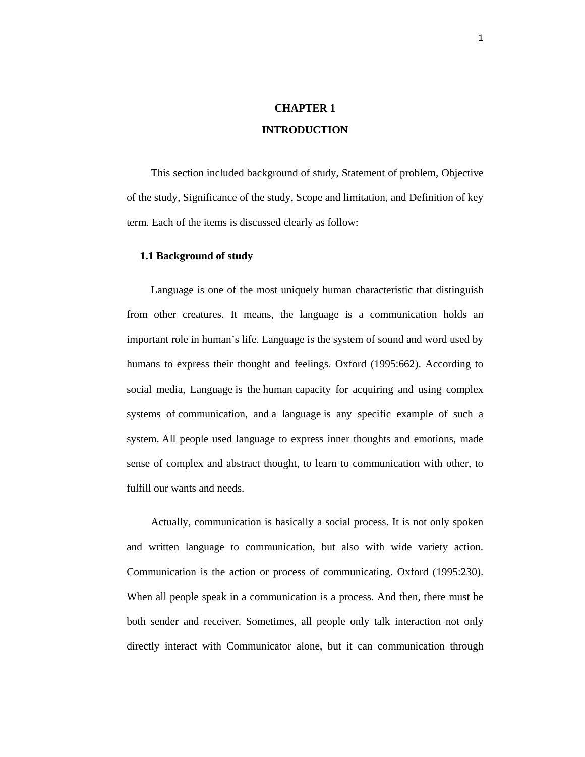# **CHAPTER 1 INTRODUCTION**

 This section included background of study, Statement of problem, Objective of the study, Significance of the study, Scope and limitation, and Definition of key term. Each of the items is discussed clearly as follow:

#### **1.1 Background of study**

 Language is one of the most uniquely human characteristic that distinguish from other creatures. It means, the language is a communication holds an important role in human's life. Language is the system of sound and word used by humans to express their thought and feelings. Oxford (1995:662). According to social media, Language is the human capacity for acquiring and using complex systems of communication, and a language is any specific example of such a system. All people used language to express inner thoughts and emotions, made sense of complex and abstract thought, to learn to communication with other, to fulfill our wants and needs.

 Actually, communication is basically a social process. It is not only spoken and written language to communication, but also with wide variety action. Communication is the action or process of communicating. Oxford (1995:230). When all people speak in a communication is a process. And then, there must be both sender and receiver. Sometimes, all people only talk interaction not only directly interact with Communicator alone, but it can communication through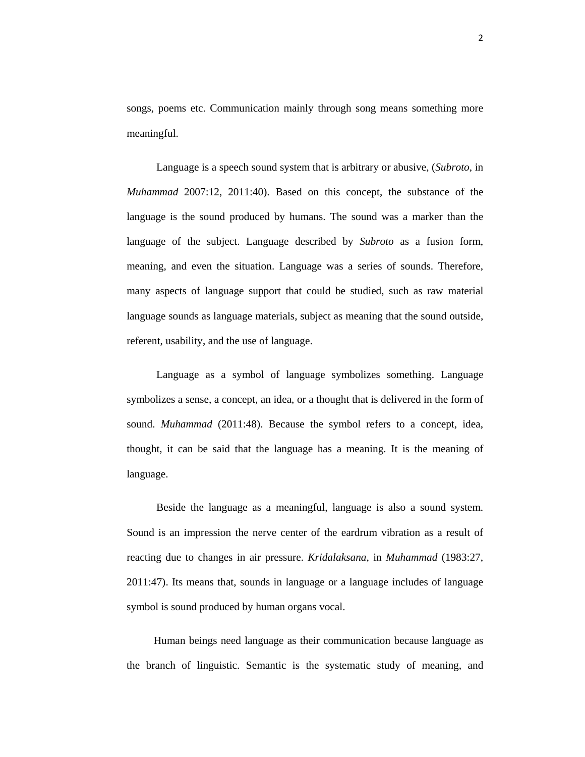songs, poems etc. Communication mainly through song means something more meaningful.

 Language is a speech sound system that is arbitrary or abusive, (*Subroto*, in *Muhammad* 2007:12, 2011:40). Based on this concept, the substance of the language is the sound produced by humans. The sound was a marker than the language of the subject. Language described by *Subroto* as a fusion form, meaning, and even the situation. Language was a series of sounds. Therefore, many aspects of language support that could be studied, such as raw material language sounds as language materials, subject as meaning that the sound outside, referent, usability, and the use of language.

 Language as a symbol of language symbolizes something. Language symbolizes a sense, a concept, an idea, or a thought that is delivered in the form of sound. *Muhammad* (2011:48). Because the symbol refers to a concept, idea, thought, it can be said that the language has a meaning. It is the meaning of language.

 Beside the language as a meaningful, language is also a sound system. Sound is an impression the nerve center of the eardrum vibration as a result of reacting due to changes in air pressure. *Kridalaksana*, in *Muhammad* (1983:27, 2011:47). Its means that, sounds in language or a language includes of language symbol is sound produced by human organs vocal.

 Human beings need language as their communication because language as the branch of linguistic. Semantic is the systematic study of meaning, and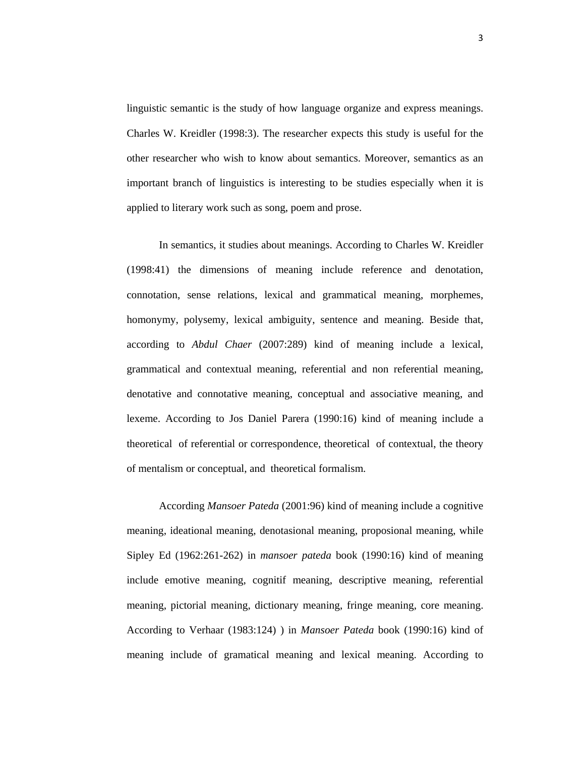linguistic semantic is the study of how language organize and express meanings. Charles W. Kreidler (1998:3). The researcher expects this study is useful for the other researcher who wish to know about semantics. Moreover, semantics as an important branch of linguistics is interesting to be studies especially when it is applied to literary work such as song, poem and prose.

 In semantics, it studies about meanings. According to Charles W. Kreidler (1998:41) the dimensions of meaning include reference and denotation, connotation, sense relations, lexical and grammatical meaning, morphemes, homonymy, polysemy, lexical ambiguity, sentence and meaning. Beside that, according to *Abdul Chaer* (2007:289) kind of meaning include a lexical, grammatical and contextual meaning, referential and non referential meaning, denotative and connotative meaning, conceptual and associative meaning, and lexeme. According to Jos Daniel Parera (1990:16) kind of meaning include a theoretical of referential or correspondence, theoretical of contextual, the theory of mentalism or conceptual, and theoretical formalism.

 According *Mansoer Pateda* (2001:96) kind of meaning include a cognitive meaning, ideational meaning, denotasional meaning, proposional meaning, while Sipley Ed (1962:261-262) in *mansoer pateda* book (1990:16) kind of meaning include emotive meaning, cognitif meaning, descriptive meaning, referential meaning, pictorial meaning, dictionary meaning, fringe meaning, core meaning. According to Verhaar (1983:124) ) in *Mansoer Pateda* book (1990:16) kind of meaning include of gramatical meaning and lexical meaning. According to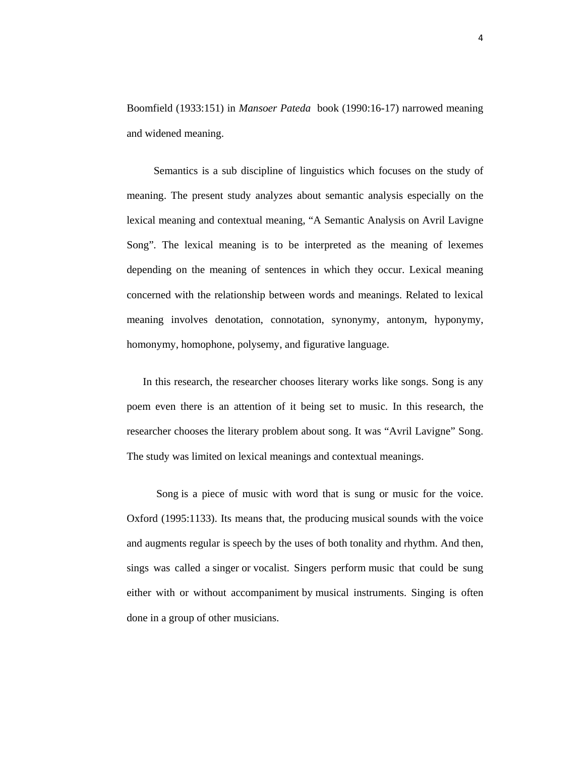Boomfield (1933:151) in *Mansoer Pateda* book (1990:16-17) narrowed meaning and widened meaning.

 Semantics is a sub discipline of linguistics which focuses on the study of meaning. The present study analyzes about semantic analysis especially on the lexical meaning and contextual meaning, "A Semantic Analysis on Avril Lavigne Song"*.* The lexical meaning is to be interpreted as the meaning of lexemes depending on the meaning of sentences in which they occur. Lexical meaning concerned with the relationship between words and meanings. Related to lexical meaning involves denotation, connotation, synonymy, antonym, hyponymy, homonymy, homophone, polysemy, and figurative language.

 In this research, the researcher chooses literary works like songs. Song is any poem even there is an attention of it being set to music. In this research, the researcher chooses the literary problem about song. It was "Avril Lavigne" Song. The study was limited on lexical meanings and contextual meanings.

 Song is a piece of music with word that is sung or music for the voice. Oxford (1995:1133). Its means that, the producing musical sounds with the voice and augments regular is speech by the uses of both tonality and rhythm. And then, sings was called a singer or vocalist. Singers perform music that could be sung either with or without accompaniment by musical instruments. Singing is often done in a group of other musicians.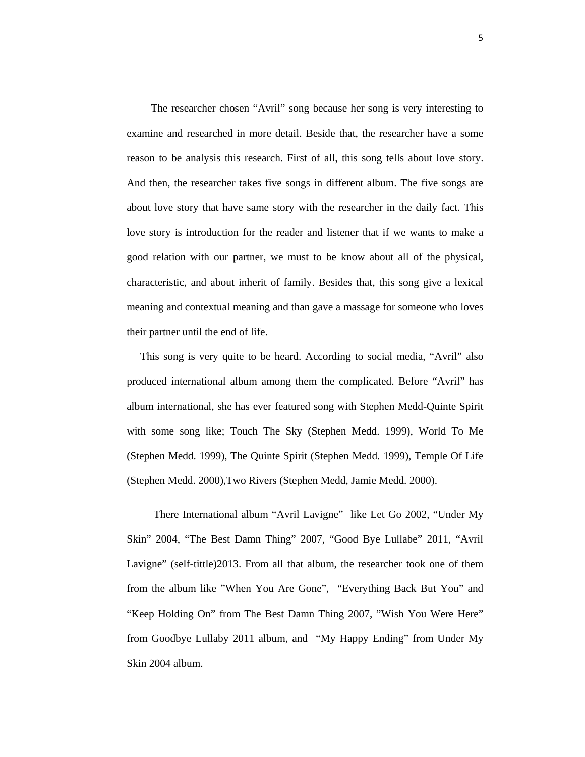The researcher chosen "Avril" song because her song is very interesting to examine and researched in more detail. Beside that, the researcher have a some reason to be analysis this research. First of all, this song tells about love story. And then, the researcher takes five songs in different album. The five songs are about love story that have same story with the researcher in the daily fact. This love story is introduction for the reader and listener that if we wants to make a good relation with our partner, we must to be know about all of the physical, characteristic, and about inherit of family. Besides that, this song give a lexical meaning and contextual meaning and than gave a massage for someone who loves their partner until the end of life.

 This song is very quite to be heard. According to social media, "Avril" also produced international album among them the complicated. Before "Avril" has album international, she has ever featured song with Stephen Medd-Quinte Spirit with some song like; Touch The Sky (Stephen Medd. 1999), World To Me (Stephen Medd. 1999), The Quinte Spirit (Stephen Medd. 1999), Temple Of Life (Stephen Medd. 2000),Two Rivers (Stephen Medd, Jamie Medd. 2000).

 There International album "Avril Lavigne" like Let Go 2002, "Under My Skin" 2004, "The Best Damn Thing" 2007, "Good Bye Lullabe" 2011, "Avril Lavigne" (self-tittle)2013. From all that album, the researcher took one of them from the album like "When You Are Gone", "Everything Back But You" and "Keep Holding On" from The Best Damn Thing 2007, "Wish You Were Here" from Goodbye Lullaby 2011 album, and "My Happy Ending" from Under My Skin 2004 album.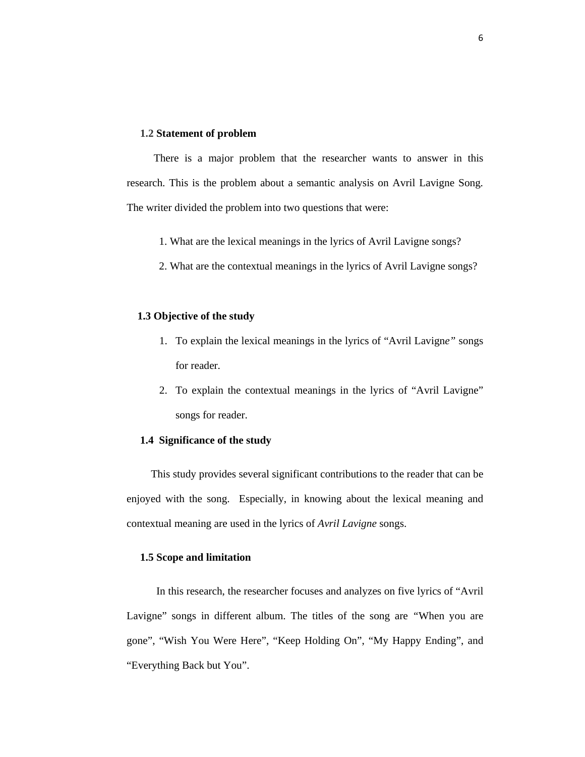#### **1.2 Statement of problem**

 There is a major problem that the researcher wants to answer in this research. This is the problem about a semantic analysis on Avril Lavigne Song*.* The writer divided the problem into two questions that were:

- 1. What are the lexical meanings in the lyrics of Avril Lavigne songs?
- 2. What are the contextual meanings in the lyrics of Avril Lavigne songs?

## **1.3 Objective of the study**

- 1. To explain the lexical meanings in the lyrics of "Avril Lavign*e"* songs for reader.
- 2. To explain the contextual meanings in the lyrics of "Avril Lavigne" songs for reader.

### **1.4 Significance of the study**

 This study provides several significant contributions to the reader that can be enjoyed with the song. Especially, in knowing about the lexical meaning and contextual meaning are used in the lyrics of *Avril Lavigne* songs.

## **1.5 Scope and limitation**

 In this research, the researcher focuses and analyzes on five lyrics of "Avril Lavigne" songs in different album. The titles of the song are *"*When you are gone", "Wish You Were Here", "Keep Holding On", "My Happy Ending", and "Everything Back but You".